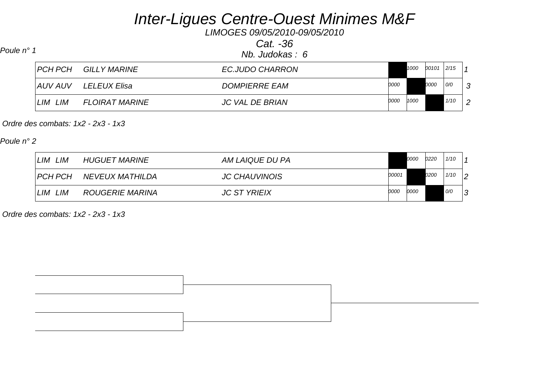*LIMOGES 09/05/2010-09/05/2010*

*Cat. -36*

| Poule n° 1 |            |                             | Nb. Judokas: 6         |      |      |       |      |                |
|------------|------------|-----------------------------|------------------------|------|------|-------|------|----------------|
|            |            | <b>PCH PCH GILLY MARINE</b> | EC.JUDO CHARRON        |      | 1000 | 00101 | 2/15 |                |
|            | AUV AUV    | LELEUX Elisa                | <b>DOMPIERRE EAM</b>   | 0000 |      | 0000  | O/O  | ာ              |
|            | LIM<br>LIM | <b>FLOIRAT MARINE</b>       | <b>JC VAL DE BRIAN</b> | 0000 | 1000 |       | 1/10 | $\overline{2}$ |

 *Ordre des combats: 1x2 - 2x3 - 1x3* 

*Poule n° 2*

| LIM<br>LIM     | <b>HUGUET MARINE</b> | AM LAIQUE DU PA      | 0000         | 0220        | 1/10 |        |
|----------------|----------------------|----------------------|--------------|-------------|------|--------|
| <b>PCH PCH</b> | NEVEUX MATHILDA      | <b>JC CHAUVINOIS</b> | 00001        | <i>0200</i> | 1/10 | 2      |
| ∟lM<br>LIM     | ROUGERIE MARINA      | <b>JC ST YRIEIX</b>  | 0000<br>0000 |             | O/O  | $\sim$ |

 *Ordre des combats: 1x2 - 2x3 - 1x3* 

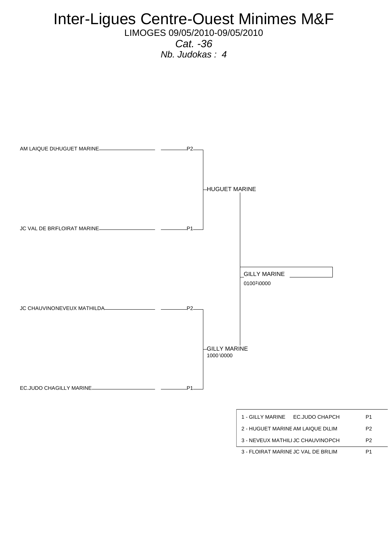LIMOGES 09/05/2010-09/05/2010

*Cat. -36 Nb. Judokas : 4* 



3 - FLOIRAT MARINE JC VAL DE BRLIM P1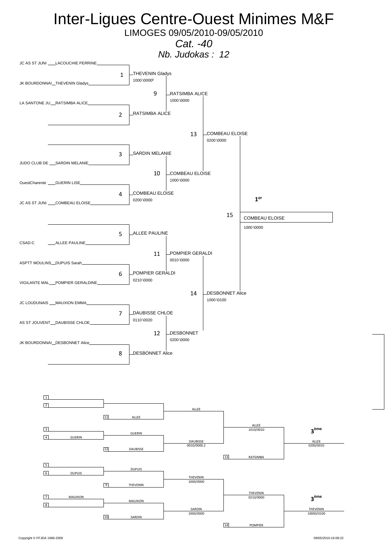LIMOGES 09/05/2010-09/05/2010

*Cat. -40*

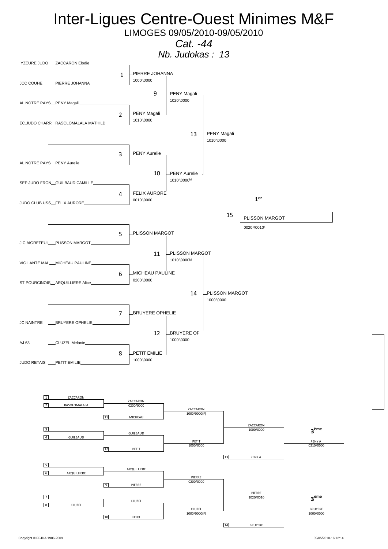LIMOGES 09/05/2010-09/05/2010

### *Cat. -44*



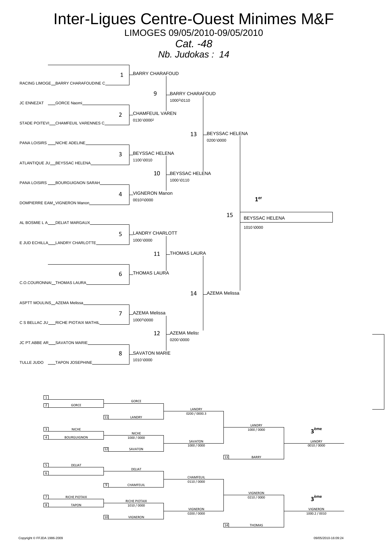LIMOGES 09/05/2010-09/05/2010

*Cat. -48*

*Nb. Judokas : 14* 



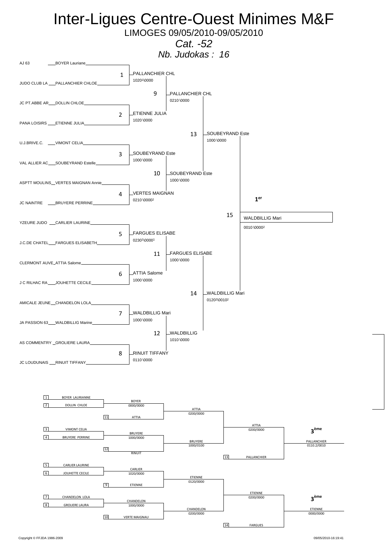LIMOGES 09/05/2010-09/05/2010

### *Cat. -52*



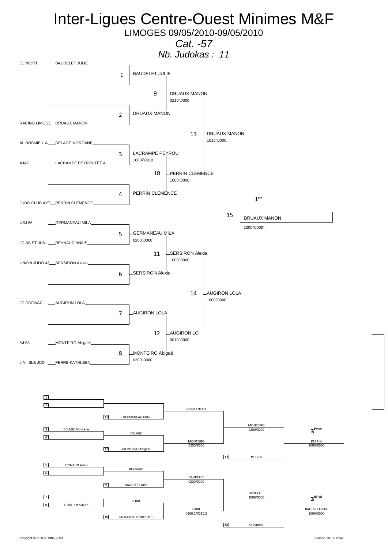

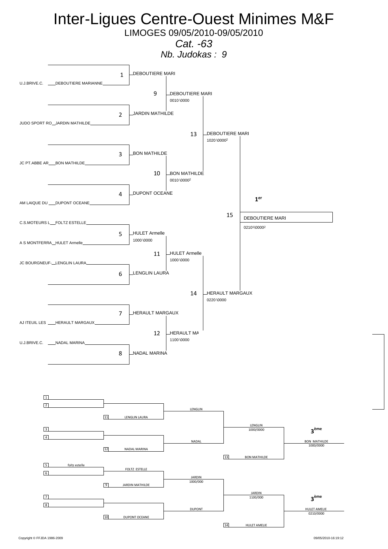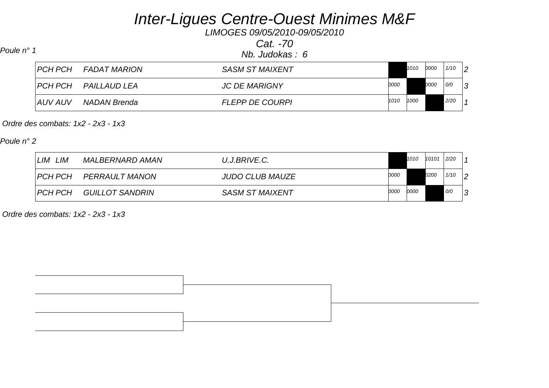*LIMOGES 09/05/2010-09/05/2010*

*Cat. -70*

*Nb. Judokas : 6 Poule n° 1*

| I PCH PCH | <b>FADAT MARION</b> | SASM ST MAIXENT        |      | 1010 | 0000        | 1/10 | $\mathsf{I}$ |
|-----------|---------------------|------------------------|------|------|-------------|------|--------------|
| I PCH PCH | PAILLAUD LEA        | <b>JC DE MARIGNY</b>   | 0000 |      | <i>0000</i> | 0/0  | 3            |
| AUV AUV   | NADAN Brenda        | <b>FLEPP DE COURPI</b> | 1010 | 1000 |             | 2/20 |              |

 *Ordre des combats: 1x2 - 2x3 - 1x3* 

*Poule n° 2*

| ∟IM<br>LIM     | MALBERNARD AMAN | U.J.BRIVE.C.           |      | 1010 | 10101       | 2/20 |                |
|----------------|-----------------|------------------------|------|------|-------------|------|----------------|
| <b>PCH PCH</b> | PERRAULT MANON  | <b>JUDO CLUB MAUZE</b> | 0000 |      | <i>0200</i> | 1/10 | $\overline{2}$ |
| PCH PCH        | GUILLOT SANDRIN | <b>SASM ST MAIXENT</b> | 0000 | 0000 |             | 0/0  | ึ              |

 *Ordre des combats: 1x2 - 2x3 - 1x3* 

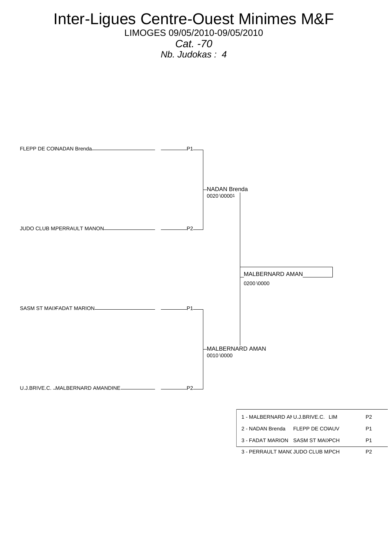LIMOGES 09/05/2010-09/05/2010 *Cat. -70*

*Nb. Judokas : 4* 



| 3 - PERRAULT MANC JUDO CLUB MPCH |  |
|----------------------------------|--|